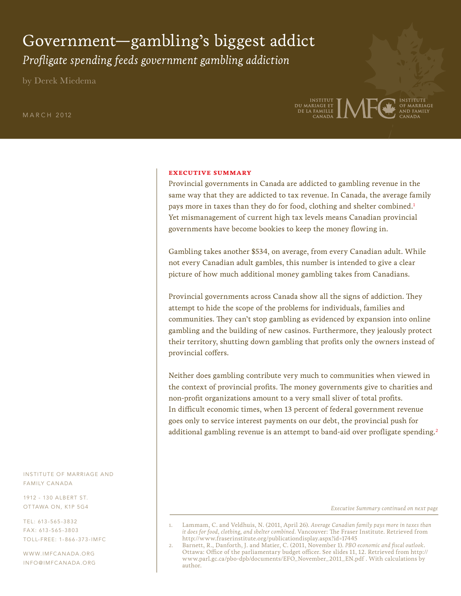# Government—gambling's biggest addict *Profligate spending feeds government gambling addiction*

by Derek Miedema

M A R C H 2012



#### **executive summary**

Provincial governments in Canada are addicted to gambling revenue in the same way that they are addicted to tax revenue. In Canada, the average family pays more in taxes than they do for food, clothing and shelter combined. $^1$ Yet mismanagement of current high tax levels means Canadian provincial governments have become bookies to keep the money flowing in.

Gambling takes another \$534, on average, from every Canadian adult. While not every Canadian adult gambles, this number is intended to give a clear picture of how much additional money gambling takes from Canadians.

Provincial governments across Canada show all the signs of addiction. They attempt to hide the scope of the problems for individuals, families and communities. They can't stop gambling as evidenced by expansion into online gambling and the building of new casinos. Furthermore, they jealously protect their territory, shutting down gambling that profits only the owners instead of provincial coffers.

Neither does gambling contribute very much to communities when viewed in the context of provincial profits. The money governments give to charities and non-profit organizations amount to a very small sliver of total profits. In difficult economic times, when 13 percent of federal government revenue goes only to service interest payments on our debt, the provincial push for additional gambling revenue is an attempt to band-aid over profligate spending.<sup>2</sup>

*Executive Summary continued on next page*

INSTITUTE OF MARRIAGE AND FAMILY CANADA

1912 - 130 ALBERT ST. OT TAWA ON, K1P 5G4

TEL: 613 -565 -3832 FA X: 613 -565 -3803 TOLL-FREE: 1- 866 -373 -IMFC

WWW.IMFCANADA.ORG INFO@IMFCANADA .ORG

<sup>1.</sup> Lammam, C. and Veldhuis, N. (2011, April 26). *Average Canadian family pays more in taxes than it does for food, clothing, and shelter combined.* Vancouver: The Fraser Institute. Retrieved from http://www.fraserinstitute.org/publicationdisplay.aspx?id=17445

<sup>2.</sup> Barnett, R., Danforth, J. and Matier, C. (2011, November 1). *PBO economic and fiscal outlook*. Ottawa: Office of the parliamentary budget officer. See slides 11, 12. Retrieved from http:// www.parl.gc.ca/pbo-dpb/documents/EFO\_November\_2011\_EN.pdf . With calculations by author.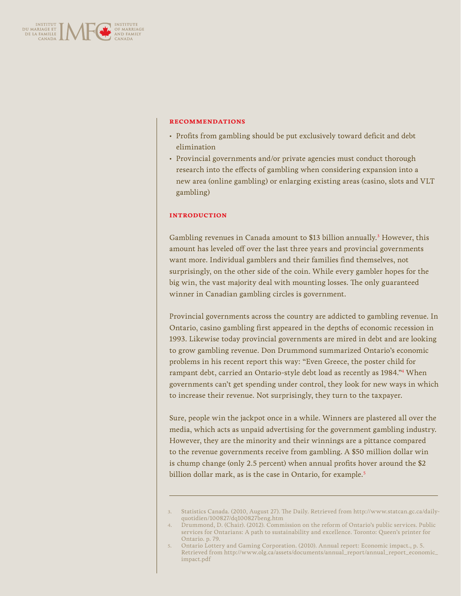

#### **recommendations**

- Profits from gambling should be put exclusively toward deficit and debt elimination
- Provincial governments and/or private agencies must conduct thorough research into the effects of gambling when considering expansion into a new area (online gambling) or enlarging existing areas (casino, slots and VLT gambling)

#### **introduction**

Gambling revenues in Canada amount to \$13 billion annually.<sup>3</sup> However, this amount has leveled off over the last three years and provincial governments want more. Individual gamblers and their families find themselves, not surprisingly, on the other side of the coin. While every gambler hopes for the big win, the vast majority deal with mounting losses. The only guaranteed winner in Canadian gambling circles is government.

Provincial governments across the country are addicted to gambling revenue. In Ontario, casino gambling first appeared in the depths of economic recession in 1993. Likewise today provincial governments are mired in debt and are looking to grow gambling revenue. Don Drummond summarized Ontario's economic problems in his recent report this way: "Even Greece, the poster child for rampant debt, carried an Ontario-style debt load as recently as 1984."4 When governments can't get spending under control, they look for new ways in which to increase their revenue. Not surprisingly, they turn to the taxpayer.

Sure, people win the jackpot once in a while. Winners are plastered all over the media, which acts as unpaid advertising for the government gambling industry. However, they are the minority and their winnings are a pittance compared to the revenue governments receive from gambling. A \$50 million dollar win is chump change (only 2.5 percent) when annual profits hover around the \$2 billion dollar mark, as is the case in Ontario, for example.<sup>5</sup>

<sup>3.</sup> Statistics Canada. (2010, August 27). The Daily. Retrieved from http://www.statcan.gc.ca/dailyquotidien/100827/dq100827beng.htm

<sup>4.</sup> Drummond, D. (Chair). (2012). Commission on the reform of Ontario's public services. Public services for Ontarians: A path to sustainability and excellence. Toronto: Queen's printer for Ontario. p. 79.

<sup>5.</sup> Ontario Lottery and Gaming Corporation. (2010). Annual report: Economic impact., p. 5. Retrieved from http://www.olg.ca/assets/documents/annual\_report/annual\_report\_economic\_ impact.pdf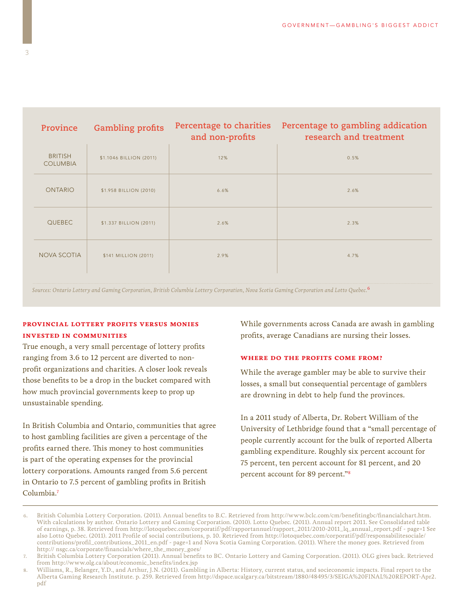| Province                          | <b>Gambling profits</b> | Percentage to charities<br>and non-profits | Percentage to gambling addication<br>research and treatment |
|-----------------------------------|-------------------------|--------------------------------------------|-------------------------------------------------------------|
| <b>BRITISH</b><br><b>COLUMBIA</b> | \$1.1046 BILLION (2011) | 12%                                        | 0.5%                                                        |
| <b>ONTARIO</b>                    | \$1.958 BILLION (2010)  | 6.6%                                       | 2.6%                                                        |
| <b>QUEBEC</b>                     | \$1.337 BILLION (2011)  | 2.6%                                       | 2.3%                                                        |
| <b>NOVA SCOTIA</b>                | \$141 MILLION (2011)    | 2.9%                                       | 4.7%                                                        |
|                                   |                         |                                            |                                                             |

*Sources: Ontario Lottery and Gaming Corporation, British Columbia Lottery Corporation, Nova Scotia Gaming Corporation and Lotto Quebec.*<sup>6</sup>

## **provincial lottery profits versus monies invested in communities**

True enough, a very small percentage of lottery profits ranging from 3.6 to 12 percent are diverted to nonprofit organizations and charities. A closer look reveals those benefits to be a drop in the bucket compared with how much provincial governments keep to prop up unsustainable spending.

In British Columbia and Ontario, communities that agree to host gambling facilities are given a percentage of the profits earned there. This money to host communities is part of the operating expenses for the provincial lottery corporations. Amounts ranged from 5.6 percent in Ontario to 7.5 percent of gambling profits in British Columbia.7 

While governments across Canada are awash in gambling profits, average Canadians are nursing their losses.

#### **where do the profits come from?**

While the average gambler may be able to survive their losses, a small but consequential percentage of gamblers are drowning in debt to help fund the provinces.

In a 2011 study of Alberta, Dr. Robert William of the University of Lethbridge found that a "small percentage of people currently account for the bulk of reported Alberta gambling expenditure. Roughly six percent account for 75 percent, ten percent account for 81 percent, and 20 percent account for 89 percent."8

<sup>6.</sup> British Columbia Lottery Corporation. (2011). Annual benefits to B.C. Retrieved from http://www.bclc.com/cm/benefitingbc/financialchart.htm. With calculations by author. Ontario Lottery and Gaming Corporation. (2010). Lotto Quebec. (2011). Annual report 2011. See Consolidated table of earnings, p. 38. Retrieved from http://lotoquebec.com/corporatif/pdf/rapportannuel/rapport\_2011/2010-2011\_lq\_annual\_report.pdf - page=1 See also Lotto Quebec. (2011). 2011 Profile of social contributions, p. 10. Retrieved from http://lotoquebec.com/corporatif/pdf/responsabilitesociale/ contributions/profil\_contributions\_2011\_en.pdf - page=1 and Nova Scotia Gaming Corporation. (2011). Where the money goes. Retrieved from http:// nsgc.ca/corporate/financials/where\_the\_money\_goes/

<sup>7.</sup> British Columbia Lottery Corporation (2011). Annual benefits to BC. Ontario Lottery and Gaming Corporation. (2011). OLG gives back. Retrieved from http://www.olg.ca/about/economic\_benefits/index.jsp

<sup>8.</sup> Williams, R., Belanger, Y.D., and Arthur, J.N. (2011). Gambling in Alberta: History, current status, and socieconomic impacts. Final report to the Alberta Gaming Research Institute. p. 259. Retrieved from http://dspace.ucalgary.ca/bitstream/1880/48495/3/SEIGA%20FINAL%20REPORT-Apr2. pdf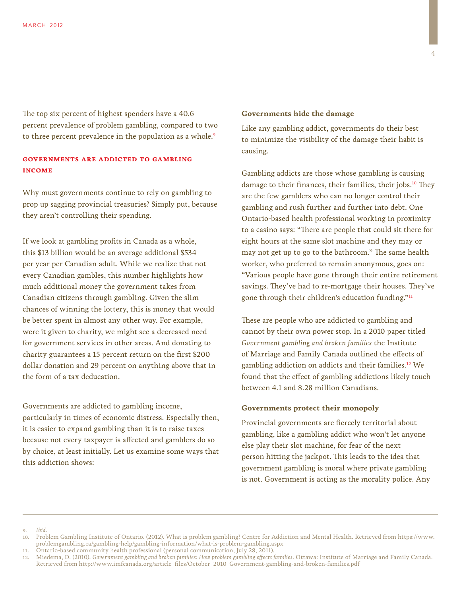The top six percent of highest spenders have a 40.6 percent prevalence of problem gambling, compared to two to three percent prevalence in the population as a whole.<sup>9</sup>

# **governments are addicted to gambling income**

Why must governments continue to rely on gambling to prop up sagging provincial treasuries? Simply put, because they aren't controlling their spending.

If we look at gambling profits in Canada as a whole, this \$13 billion would be an average additional \$534 per year per Canadian adult. While we realize that not every Canadian gambles, this number highlights how much additional money the government takes from Canadian citizens through gambling. Given the slim chances of winning the lottery, this is money that would be better spent in almost any other way. For example, were it given to charity, we might see a decreased need for government services in other areas. And donating to charity guarantees a 15 percent return on the first \$200 dollar donation and 29 percent on anything above that in the form of a tax deducation.

Governments are addicted to gambling income, particularly in times of economic distress. Especially then, it is easier to expand gambling than it is to raise taxes because not every taxpayer is affected and gamblers do so by choice, at least initially. Let us examine some ways that this addiction shows:

#### **Governments hide the damage**

Like any gambling addict, governments do their best to minimize the visibility of the damage their habit is causing.

Gambling addicts are those whose gambling is causing damage to their finances, their families, their jobs.<sup>10</sup> They are the few gamblers who can no longer control their gambling and rush further and further into debt. One Ontario-based health professional working in proximity to a casino says: "There are people that could sit there for eight hours at the same slot machine and they may or may not get up to go to the bathroom." The same health worker, who preferred to remain anonymous, goes on: "Various people have gone through their entire retirement savings. They've had to re-mortgage their houses. They've gone through their children's education funding."11

These are people who are addicted to gambling and cannot by their own power stop. In a 2010 paper titled *Government gambling and broken families* the Institute of Marriage and Family Canada outlined the effects of gambling addiction on addicts and their families.12 We found that the effect of gambling addictions likely touch between 4.1 and 8.28 million Canadians.

#### **Governments protect their monopoly**

Provincial governments are fiercely territorial about gambling, like a gambling addict who won't let anyone else play their slot machine, for fear of the next person hitting the jackpot. This leads to the idea that government gambling is moral where private gambling is not. Government is acting as the morality police. Any

9. *Ibid.*

<sup>10.</sup> Problem Gambling Institute of Ontario. (2012). What is problem gambling? Centre for Addiction and Mental Health. Retrieved from https://www. problemgambling.ca/gambling-help/gambling-information/what-is-problem-gambling.aspx

<sup>11.</sup> Ontario-based community health professional (personal communication, July 28, 2011).

<sup>12.</sup> Miedema, D. (2010). *Government gambling and broken families: How problem gambling effects families*. Ottawa: Institute of Marriage and Family Canada. Retrieved from http://www.imfcanada.org/article\_files/October\_2010\_Government-gambling-and-broken-families.pdf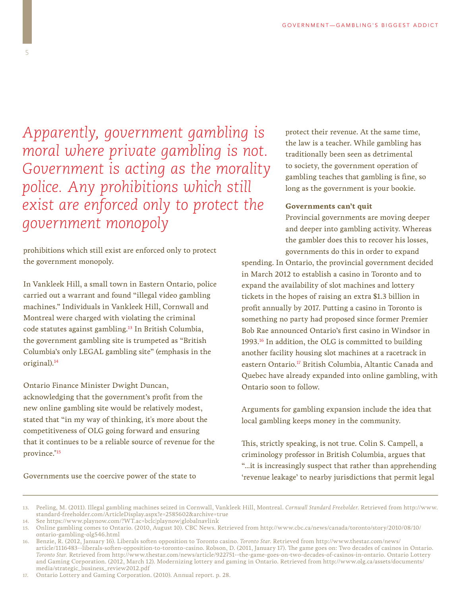*Apparently, government gambling is moral where private gambling is not. Government is acting as the morality police. Any prohibitions which still exist are enforced only to protect the government monopoly*

prohibitions which still exist are enforced only to protect the government monopoly.

In Vankleek Hill, a small town in Eastern Ontario, police carried out a warrant and found "illegal video gambling machines." Individuals in Vankleek Hill, Cornwall and Montreal were charged with violating the criminal code statutes against gambling.13 In British Columbia, the government gambling site is trumpeted as "British Columbia's only LEGAL gambling site" (emphasis in the original).14

Ontario Finance Minister Dwight Duncan,

acknowledging that the government's profit from the new online gambling site would be relatively modest, stated that "in my way of thinking, it's more about the competitiveness of OLG going forward and ensuring that it continues to be a reliable source of revenue for the province."15

Governments use the coercive power of the state to

protect their revenue. At the same time, the law is a teacher. While gambling has traditionally been seen as detrimental to society, the government operation of gambling teaches that gambling is fine, so long as the government is your bookie.

### **Governments can't quit**

Provincial governments are moving deeper and deeper into gambling activity. Whereas the gambler does this to recover his losses, governments do this in order to expand

spending. In Ontario, the provincial government decided in March 2012 to establish a casino in Toronto and to expand the availability of slot machines and lottery tickets in the hopes of raising an extra \$1.3 billion in profit annually by 2017. Putting a casino in Toronto is something no party had proposed since former Premier Bob Rae announced Ontario's first casino in Windsor in 1993.16 In addition, the OLG is committed to building another facility housing slot machines at a racetrack in eastern Ontario.<sup>17</sup> British Columbia, Altantic Canada and Quebec have already expanded into online gambling, with Ontario soon to follow.

Arguments for gambling expansion include the idea that local gambling keeps money in the community.

This, strictly speaking, is not true. Colin S. Campell, a criminology professor in British Columbia, argues that "…it is increasingly suspect that rather than apprehending 'revenue leakage' to nearby jurisdictions that permit legal

<sup>13.</sup> Peeling, M. (2011). Illegal gambling machines seized in Cornwall, Vankleek Hill, Montreal. *Cornwall Standard Freeholder*. Retrieved from http://www. standard-freeholder.com/ArticleDisplay.aspx?e=2585602&archive=true

<sup>14.</sup> See https://www.playnow.com/?WT.ac=bclc|playnow|globalnavlink

<sup>15.</sup> Online gambling comes to Ontario. (2010, August 10). CBC News. Retrieved from http://www.cbc.ca/news/canada/toronto/story/2010/08/10/ ontario-gambling-olg546.html

<sup>16.</sup> Benzie, R. (2012, January 16). Liberals soften opposition to Toronto casino. *Toronto Star*. Retrieved from http://www.thestar.com/news/ article/1116483--liberals-soften-opposition-to-toronto-casino. Robson, D. (2011, January 17). The game goes on: Two decades of casinos in Ontario. *Toronto Star.* Retrieved from http://www.thestar.com/news/article/922751--the-game-goes-on-two-decades-of-casinos-in-ontario. Ontario Lottery and Gaming Corporation. (2012, March 12). Modernizing lottery and gaming in Ontario. Retrieved from http://www.olg.ca/assets/documents/ media/strategic\_business\_review2012.pdf

<sup>17.</sup> Ontario Lottery and Gaming Corporation. (2010). Annual report. p. 28.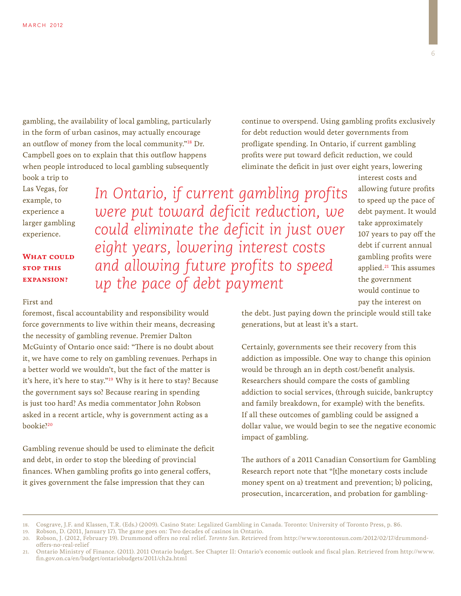gambling, the availability of local gambling, particularly in the form of urban casinos, may actually encourage an outflow of money from the local community."18 Dr. Campbell goes on to explain that this outflow happens when people introduced to local gambling subsequently

book a trip to Las Vegas, for example, to experience a larger gambling experience.

**WHAT COULD stop this expansion?**

#### First and

foremost, fiscal accountability and responsibility would force governments to live within their means, decreasing the necessity of gambling revenue. Premier Dalton McGuinty of Ontario once said: "There is no doubt about it, we have come to rely on gambling revenues. Perhaps in a better world we wouldn't, but the fact of the matter is it's here, it's here to stay."19 Why is it here to stay? Because the government says so? Because rearing in spending is just too hard? As media commentator John Robson asked in a recent article, why is government acting as a bookie?20

Gambling revenue should be used to eliminate the deficit and debt, in order to stop the bleeding of provincial finances. When gambling profits go into general coffers, it gives government the false impression that they can

continue to overspend. Using gambling profits exclusively for debt reduction would deter governments from profligate spending. In Ontario, if current gambling profits were put toward deficit reduction, we could eliminate the deficit in just over eight years, lowering

*In Ontario, if current gambling profits were put toward deficit reduction, we could eliminate the deficit in just over eight years, lowering interest costs and allowing future profits to speed up the pace of debt payment*

interest costs and allowing future profits to speed up the pace of debt payment. It would take approximately 107 years to pay off the debt if current annual gambling profits were applied.21 This assumes the government would continue to pay the interest on

the debt. Just paying down the principle would still take generations, but at least it's a start.

Certainly, governments see their recovery from this addiction as impossible. One way to change this opinion would be through an in depth cost/benefit analysis. Researchers should compare the costs of gambling addiction to social services, (through suicide, bankruptcy and family breakdown, for example) with the benefits. If all these outcomes of gambling could be assigned a dollar value, we would begin to see the negative economic impact of gambling.

The authors of a 2011 Canadian Consortium for Gambling Research report note that "[t]he monetary costs include money spent on a) treatment and prevention; b) policing, prosecution, incarceration, and probation for gambling-

<sup>18.</sup> Cosgrave, J.F. and Klassen, T.R. (Eds.) (2009). Casino State: Legalized Gambling in Canada. Toronto: University of Toronto Press, p. 86.

<sup>19.</sup> Robson, D. (2011, January 17). The game goes on: Two decades of casinos in Ontario.

<sup>20.</sup> Robson, J. (2012, February 19). Drummond offers no real relief. *Toronto Sun*. Retrieved from http://www.torontosun.com/2012/02/17/drummondoffers-no-real-relief

<sup>21.</sup> Ontario Ministry of Finance. (2011). 2011 Ontario budget. See Chapter II: Ontario's economic outlook and fiscal plan. Retrieved from http://www. fin.gov.on.ca/en/budget/ontariobudgets/2011/ch2a.html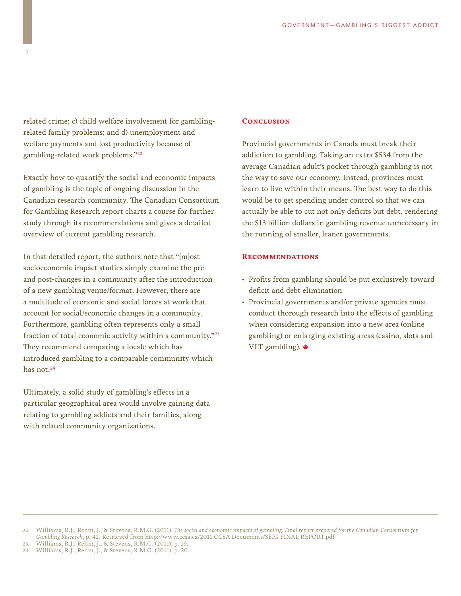related crime; c) child welfare involvement for gamblingrelated family problems; and d) unemployment and welfare payments and lost productivity because of gambling-related work problems."22

Exactly how to quantify the social and economic impacts of gambling is the topic of ongoing discussion in the Canadian research community. The Canadian Consortium for Gambling Research report charts a course for further study through its recommendations and gives a detailed overview of current gambling research.

In that detailed report, the authors note that "[m]ost socioeconomic impact studies simply examine the preand post-changes in a community after the introduction of a new gambling venue/format. However, there are a multitude of economic and social forces at work that account for social/economic changes in a community. Furthermore, gambling often represents only a small fraction of total economic activity within a community."23 They recommend comparing a locale which has introduced gambling to a comparable community which has not.<sup>24</sup>

Ultimately, a solid study of gambling's effects in a particular geographical area would involve gaining data relating to gambling addicts and their families, along with related community organizations.

#### **Conclusion**

Provincial governments in Canada must break their addiction to gambling. Taking an extra \$534 from the average Canadian adult's pocket through gambling is not the way to save our economy. Instead, provinces must learn to live within their means. The best way to do this would be to get spending under control so that we can actually be able to cut not only deficits but debt, rendering the \$13 billion dollars in gambling revenue unnecessary in the running of smaller, leaner governments.

### **Recommendations**

- Profits from gambling should be put exclusively toward deficit and debt elimination
- Provincial governments and/or private agencies must conduct thorough research into the effects of gambling when considering expansion into a new area (online gambling) or enlarging existing areas (casino, slots and VLT gambling).

<sup>22.</sup> Williams, R.J., Rehm, J., & Stevens, R.M.G. (2011). *The social and economic impacts of gambling. Final report prepared for the Canadian Consortium for Gambling Research*, p. 42. Retrieved from http://www.ccsa.ca/2011 CCSA Documents/SEIG FINAL REPORT.pdf

<sup>23.</sup> Williams, R.J., Rehm, J., & Stevens, R.M.G. (2011), p. 19.

<sup>24.</sup> Williams, R.J., Rehm, J., & Stevens, R.M.G. (2011), p. 20.